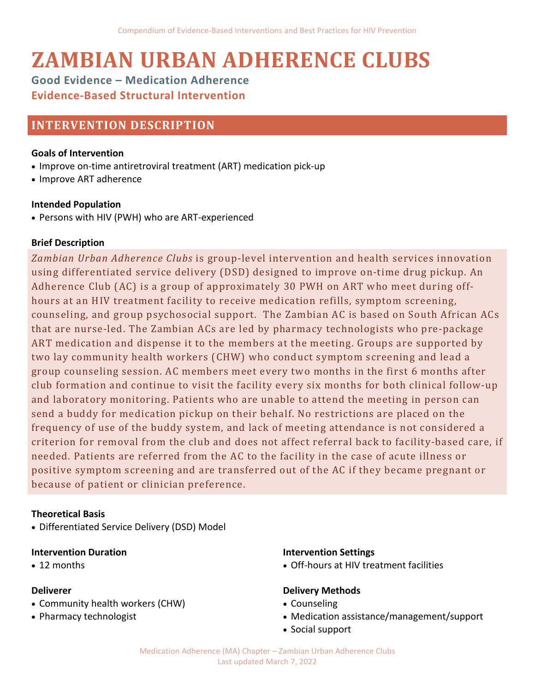# **ZAMBIAN URBAN ADHERENCE CLUBS**

**Good Evidence – Medication Adherence Evidence-Based Structural Intervention**

# **INTERVENTION DESCRIPTION**

#### **Goals of Intervention**

- Improve on-time antiretroviral treatment (ART) medication pick-up
- Improve ART adherence

#### **Intended Population**

• Persons with HIV (PWH) who are ART-experienced

# **Brief Description**

*Zambian Urban Adherence Clubs* is group-level intervention and health services innovation using differentiated service delivery (DSD) designed to improve on-time drug pickup. An Adherence Club (AC) is a group of approximately 30 PWH on ART who meet during offhours at an HIV treatment facility to receive medication refills, symptom screening, counseling, and group psychosocial support. The Zambian AC is based on South African ACs that are nurse-led. The Zambian ACs are led by pharmacy technologists who pre-package ART medication and dispense it to the members at the meeting. Groups are supported by two lay community health workers (CHW) who conduct symptom screening and lead a group counseling session. AC members meet every two months in the first 6 months after club formation and continue to visit the facility every six months for both clinical follow-up and laboratory monitoring. Patients who are unable to attend the meeting in person can send a buddy for medication pickup on their behalf. No restrictions are placed on the frequency of use of the buddy system, and lack of meeting attendance is not considered a criterion for removal from the club and does not affect referral back to facility-based care, if needed. Patients are referred from the AC to the facility in the case of acute illness or positive symptom screening and are transferred out of the AC if they became pregnant or because of patient or clinician preference.

#### **Theoretical Basis**

• Differentiated Service Delivery (DSD) Model

#### **Intervention Duration**

• 12 months

#### **Deliverer**

- Community health workers (CHW)
- Pharmacy technologist

#### **Intervention Settings**

• Off-hours at HIV treatment facilities

#### **Delivery Methods**

- Counseling
- Medication assistance/management/support
- Social support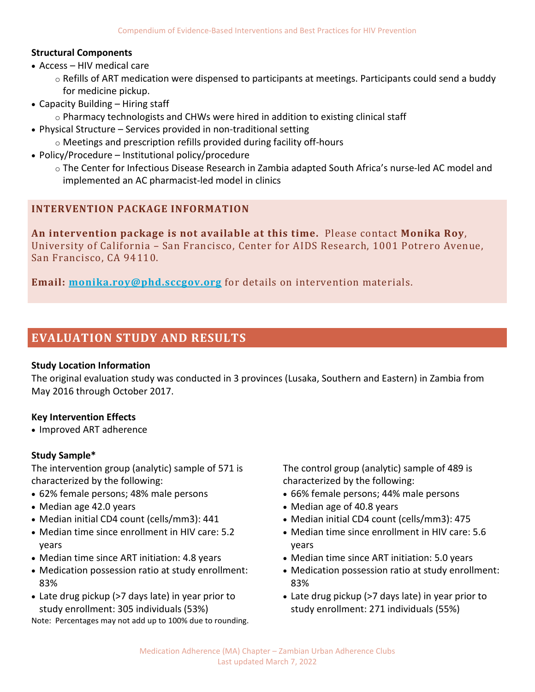#### **Structural Components**

- Access HIV medical care
	- $\circ$  Refills of ART medication were dispensed to participants at meetings. Participants could send a buddy for medicine pickup.
- Capacity Building Hiring staff
	- $\circ$  Pharmacy technologists and CHWs were hired in addition to existing clinical staff
- Physical Structure Services provided in non-traditional setting
- o Meetings and prescription refills provided during facility off-hours
- Policy/Procedure Institutional policy/procedure
	- o The Center for Infectious Disease Research in Zambia adapted South Africa's nurse-led AC model and implemented an AC pharmacist-led model in clinics

# **INTERVENTION PACKAGE INFORMATION**

**An intervention package is not available at this time.** Please contact **Monika Roy**, University of California – San Francisco, Center for AIDS Research, 1001 Potrero Avenue, San Francisco, CA 94110.

**Email: [monika.roy@phd.sccgov.org](mailto:monika.roy@phd.sccgov.org)** for details on intervention materials.

# **EVALUATION STUDY AND RESULTS**

#### **Study Location Information**

The original evaluation study was conducted in 3 provinces (Lusaka, Southern and Eastern) in Zambia from May 2016 through October 2017.

#### **Key Intervention Effects**

• Improved ART adherence

#### **Study Sample\***

The intervention group (analytic) sample of 571 is characterized by the following:

- 62% female persons; 48% male persons
- Median age 42.0 years
- Median initial CD4 count (cells/mm3): 441
- Median time since enrollment in HIV care: 5.2 years
- Median time since ART initiation: 4.8 years
- Medication possession ratio at study enrollment: 83%
- Late drug pickup (>7 days late) in year prior to study enrollment: 305 individuals (53%)

Note: Percentages may not add up to 100% due to rounding.

The control group (analytic) sample of 489 is characterized by the following:

- 66% female persons; 44% male persons
- Median age of 40.8 years
- Median initial CD4 count (cells/mm3): 475
- Median time since enrollment in HIV care: 5.6 years
- Median time since ART initiation: 5.0 years
- Medication possession ratio at study enrollment: 83%
- Late drug pickup (>7 days late) in year prior to study enrollment: 271 individuals (55%)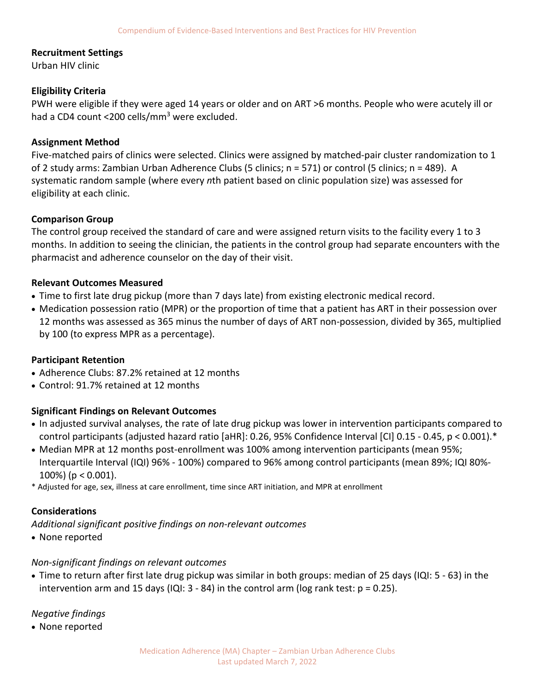#### **Recruitment Settings**

Urban HIV clinic

#### **Eligibility Criteria**

PWH were eligible if they were aged 14 years or older and on ART >6 months. People who were acutely ill or had a CD4 count <200 cells/mm<sup>3</sup> were excluded.

#### **Assignment Method**

Five-matched pairs of clinics were selected. Clinics were assigned by matched-pair cluster randomization to 1 of 2 study arms: Zambian Urban Adherence Clubs (5 clinics; n = 571) or control (5 clinics; n = 489). A systematic random sample (where every *n*th patient based on clinic population size) was assessed for eligibility at each clinic.

#### **Comparison Group**

The control group received the standard of care and were assigned return visits to the facility every 1 to 3 months. In addition to seeing the clinician, the patients in the control group had separate encounters with the pharmacist and adherence counselor on the day of their visit.

#### **Relevant Outcomes Measured**

- Time to first late drug pickup (more than 7 days late) from existing electronic medical record.
- Medication possession ratio (MPR) or the proportion of time that a patient has ART in their possession over 12 months was assessed as 365 minus the number of days of ART non-possession, divided by 365, multiplied by 100 (to express MPR as a percentage).

# **Participant Retention**

- Adherence Clubs: 87.2% retained at 12 months
- Control: 91.7% retained at 12 months

# **Significant Findings on Relevant Outcomes**

- In adjusted survival analyses, the rate of late drug pickup was lower in intervention participants compared to control participants (adjusted hazard ratio [aHR]: 0.26, 95% Confidence Interval [CI] 0.15 - 0.45, p < 0.001).\*
- Median MPR at 12 months post-enrollment was 100% among intervention participants (mean 95%; Interquartile Interval (IQI) 96% - 100%) compared to 96% among control participants (mean 89%; IQI 80%- 100%) (p < 0.001).
- \* Adjusted for age, sex, illness at care enrollment, time since ART initiation, and MPR at enrollment

# **Considerations**

*Additional significant positive findings on non-relevant outcomes* 

• None reported

# *Non-significant findings on relevant outcomes*

• Time to return after first late drug pickup was similar in both groups: median of 25 days (IQI: 5 - 63) in the intervention arm and 15 days (IQI:  $3 - 84$ ) in the control arm (log rank test:  $p = 0.25$ ).

*Negative findings* 

• None reported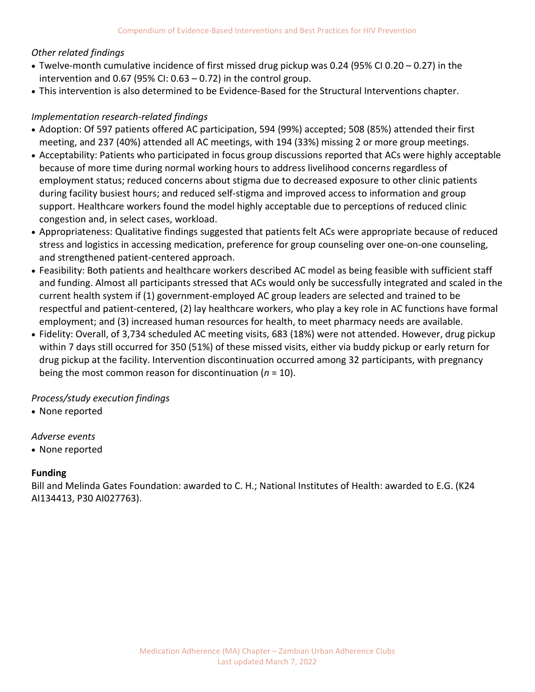# *Other related findings*

- Twelve-month cumulative incidence of first missed drug pickup was 0.24 (95% CI 0.20 0.27) in the intervention and 0.67 (95% CI:  $0.63 - 0.72$ ) in the control group.
- This intervention is also determined to be Evidence-Based for the Structural Interventions chapter.

# *Implementation research-related findings*

- Adoption: Of 597 patients offered AC participation, 594 (99%) accepted; 508 (85%) attended their first meeting, and 237 (40%) attended all AC meetings, with 194 (33%) missing 2 or more group meetings.
- Acceptability: Patients who participated in focus group discussions reported that ACs were highly acceptable because of more time during normal working hours to address livelihood concerns regardless of employment status; reduced concerns about stigma due to decreased exposure to other clinic patients during facility busiest hours; and reduced self-stigma and improved access to information and group support. Healthcare workers found the model highly acceptable due to perceptions of reduced clinic congestion and, in select cases, workload.
- Appropriateness: Qualitative findings suggested that patients felt ACs were appropriate because of reduced stress and logistics in accessing medication, preference for group counseling over one-on-one counseling, and strengthened patient-centered approach.
- Feasibility: Both patients and healthcare workers described AC model as being feasible with sufficient staff and funding. Almost all participants stressed that ACs would only be successfully integrated and scaled in the current health system if (1) government-employed AC group leaders are selected and trained to be respectful and patient-centered, (2) lay healthcare workers, who play a key role in AC functions have formal employment; and (3) increased human resources for health, to meet pharmacy needs are available.
- Fidelity: Overall, of 3,734 scheduled AC meeting visits, 683 (18%) were not attended. However, drug pickup within 7 days still occurred for 350 (51%) of these missed visits, either via buddy pickup or early return for drug pickup at the facility. Intervention discontinuation occurred among 32 participants, with pregnancy being the most common reason for discontinuation (*n* = 10).

# *Process/study execution findings*

• None reported

# *Adverse events*

• None reported

# **Funding**

Bill and Melinda Gates Foundation: awarded to C. H.; National Institutes of Health: awarded to E.G. (K24 AI134413, P30 AI027763).